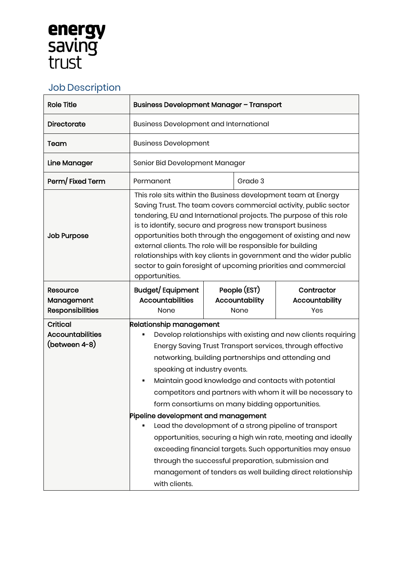## **energy**<br>saving<br>trust

## Job Description

| <b>Role Title</b>                                           | <b>Business Development Manager - Transport</b>                                                                                                                                                                                                                                                                                                                                                                                                                                                                                                                                                                                                                                                                                                                                                |  |                                        |                                            |
|-------------------------------------------------------------|------------------------------------------------------------------------------------------------------------------------------------------------------------------------------------------------------------------------------------------------------------------------------------------------------------------------------------------------------------------------------------------------------------------------------------------------------------------------------------------------------------------------------------------------------------------------------------------------------------------------------------------------------------------------------------------------------------------------------------------------------------------------------------------------|--|----------------------------------------|--------------------------------------------|
| <b>Directorate</b>                                          | <b>Business Development and International</b>                                                                                                                                                                                                                                                                                                                                                                                                                                                                                                                                                                                                                                                                                                                                                  |  |                                        |                                            |
| Team                                                        | <b>Business Development</b>                                                                                                                                                                                                                                                                                                                                                                                                                                                                                                                                                                                                                                                                                                                                                                    |  |                                        |                                            |
| <b>Line Manager</b>                                         | Senior Bid Development Manager                                                                                                                                                                                                                                                                                                                                                                                                                                                                                                                                                                                                                                                                                                                                                                 |  |                                        |                                            |
| Perm/Fixed Term                                             | Permanent                                                                                                                                                                                                                                                                                                                                                                                                                                                                                                                                                                                                                                                                                                                                                                                      |  | Grade 3                                |                                            |
| <b>Job Purpose</b>                                          | This role sits within the Business development team at Energy<br>Saving Trust. The team covers commercial activity, public sector<br>tendering, EU and International projects. The purpose of this role<br>is to identify, secure and progress new transport business<br>opportunities both through the engagement of existing and new<br>external clients. The role will be responsible for building<br>relationships with key clients in government and the wider public<br>sector to gain foresight of upcoming priorities and commercial<br>opportunities.                                                                                                                                                                                                                                 |  |                                        |                                            |
| Resource<br>Management<br><b>Responsibilities</b>           | Budget/Equipment<br><b>Accountabilities</b><br>None                                                                                                                                                                                                                                                                                                                                                                                                                                                                                                                                                                                                                                                                                                                                            |  | People (EST)<br>Accountability<br>None | Contractor<br><b>Accountability</b><br>Yes |
| <b>Critical</b><br><b>Accountabilities</b><br>(between 4-8) | <b>Relationship management</b><br>Develop relationships with existing and new clients requiring<br>Energy Saving Trust Transport services, through effective<br>networking, building partnerships and attending and<br>speaking at industry events.<br>Maintain good knowledge and contacts with potential<br>competitors and partners with whom it will be necessary to<br>form consortiums on many bidding opportunities.<br>Pipeline development and management<br>Lead the development of a strong pipeline of transport<br>opportunities, securing a high win rate, meeting and ideally<br>exceeding financial targets. Such opportunities may ensue<br>through the successful preparation, submission and<br>management of tenders as well building direct relationship<br>with clients. |  |                                        |                                            |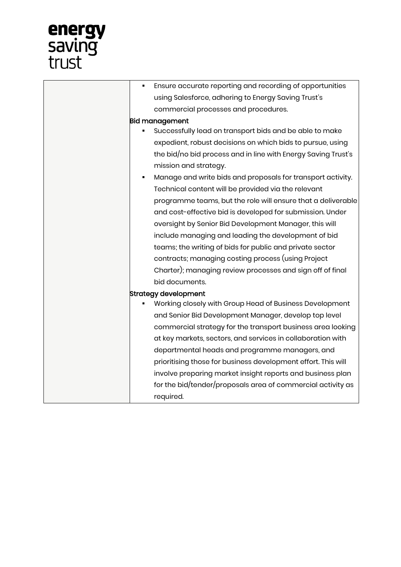## **energy**<br>saving<br>trust

| using Salesforce, adhering to Energy Saving Trust's<br>commercial processes and procedures. |  |  |
|---------------------------------------------------------------------------------------------|--|--|
|                                                                                             |  |  |
|                                                                                             |  |  |
| <b>Bid management</b>                                                                       |  |  |
| Successfully lead on transport bids and be able to make                                     |  |  |
| expedient, robust decisions on which bids to pursue, using                                  |  |  |
| the bid/no bid process and in line with Energy Saving Trust's                               |  |  |
| mission and strategy.                                                                       |  |  |
| Manage and write bids and proposals for transport activity.<br>٠                            |  |  |
| Technical content will be provided via the relevant                                         |  |  |
| programme teams, but the role will ensure that a deliverable                                |  |  |
| and cost-effective bid is developed for submission. Under                                   |  |  |
| oversight by Senior Bid Development Manager, this will                                      |  |  |
| include managing and leading the development of bid                                         |  |  |
| teams; the writing of bids for public and private sector                                    |  |  |
| contracts; managing costing process (using Project                                          |  |  |
| Charter); managing review processes and sign off of final                                   |  |  |
| bid documents.                                                                              |  |  |
| <b>Strategy development</b>                                                                 |  |  |
| Working closely with Group Head of Business Development                                     |  |  |
| and Senior Bid Development Manager, develop top level                                       |  |  |
| commercial strategy for the transport business area looking                                 |  |  |
| at key markets, sectors, and services in collaboration with                                 |  |  |
| departmental heads and programme managers, and                                              |  |  |
| prioritising those for business development effort. This will                               |  |  |
| involve preparing market insight reports and business plan                                  |  |  |
| for the bid/tender/proposals area of commercial activity as                                 |  |  |
| required.                                                                                   |  |  |